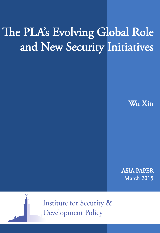# The PLA's Evolving Global Role and New Security Initiatives

Wu Xin

ASIA PAPER March 2015



**Institute for Security & Development Policy**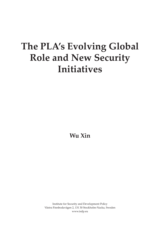## **The PLA's Evolving Global Role and New Security Initiatives**

**Wu Xin**

Institute for Security and Development Policy Västra Finnbodavägen 2, 131 30 Stockholm-Nacka, Sweden www.isdp.eu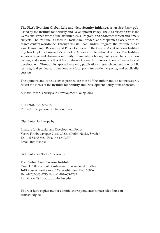**The PLA's Evolving Global Role and New Security Initiatives** is an *Asia Paper* published by the Institute for Security and Development Policy. The *Asia Papers Series* is the Occasional Paper series of the Institute's Asia Program, and addresses topical and timely subjects. The Institute is based in Stockholm, Sweden, and cooperates closely with research centers worldwide. Through its Silk Road Studies Program, the Institute runs a joint Transatlantic Research and Policy Center with the Central Asia-Caucasus Institute of Johns Hopkins University's School of Advanced International Studies. The Institute serves a large and diverse community of analysts, scholars, policy-watchers, business leaders, and journalists. It is at the forefront of research on issues of conflict, security, and development. Through its applied research, publications, research cooperation, public lectures, and seminars, it functions as a focal point for academic, policy, and public discussion.

The opinions and conclusions expressed are those of the author and do not necessarily reflect the views of the Institute for Security and Development Policy or its sponsors.

© Institute for Security and Development Policy, 2015

ISBN: 978-91-86635-87-9 Printed in Singapore by Stallion Press

Distributed in Europe by:

Institute for Security and Development Policy Västra Finnbodavägen 2, 131 30 Stockholm-Nacka, Sweden Tel. +46-841056953; Fax. +46-86403370 Email: info@isdp.eu

Distributed in North America by:

The Central Asia-Caucasus Institute Paul H. Nitze School of Advanced International Studies 1619 Massachusetts Ave. NW, Washington, D.C. 20036 Tel. +1-202-663-7723; Fax. +1-202-663-7785 E-mail: caci2@jhuadig.admin.jhu.edu

To order hard copies and for editorial correspondence contact Alec Forss at: aforss@isdp.eu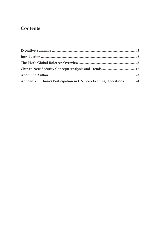## **Contents**

| Appendix 1. China's Participation in UN Peacekeeping Operations 24 |  |
|--------------------------------------------------------------------|--|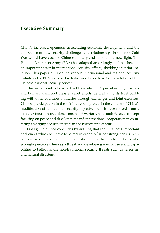## **Executive Summary**

China's increased openness, accelerating economic development, and the emergence of new security challenges and relationships in the post-Cold War world have cast the Chinese military and its role in a new light. The People's Liberation Army (PLA) has adapted accordingly, and has become an important actor in international security affairs, shedding its prior isolation. This paper outlines the various international and regional security initiatives the PLA takes part in today, and links these to an evolution of the Chinese national security concept.

The reader is introduced to the PLA's role in UN peacekeeping missions and humanitarian and disaster relief efforts, as well as to its trust building with other countries' militaries through exchanges and joint exercises. Chinese participation in these initiatives is placed in the context of China's modification of its national security objectives which have moved from a singular focus on traditional means of warfare, to a multifaceted concept focusing on peace and development and international cooperation in countering emerging security threats in the twenty-first century.

Finally, the author concludes by arguing that the PLA faces important challenges which will have to be met in order to further strengthen its international role. These include antagonistic rhetoric from other nations who wrongly perceive China as a threat and developing mechanisms and capabilities to better handle non-traditional security threats such as terrorism and natural disasters.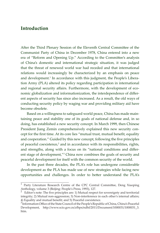## **Introduction**

After the Third Plenary Session of the Eleventh Central Committee of the Communist Party of China in December 1978, China entered into a new era of "Reform and Opening Up." According to the Committee's analysis of China's domestic and international strategic situation, it was judged that the threat of renewed world war had receded and that international relations would increasingly be characterized by an emphasis on peace and development.<sup>1</sup> In accordance with this judgment, the People's Liberation Army (PLA) altered its policy regarding participation in international and regional security affairs. Furthermore, with the development of economic globalization and informationization, the interdependence of different aspects of security has since also increased. As a result, the old ways of conducting security policy by waging war and providing military aid have become obsolete.

Based on a willingness to safeguard world peace, China has made maintaining peace and stability one of its goals of national defense and, in so doing, has established a new security concept. In March 1999, then Chinese President Jiang Zemin comprehensively explained this new security concept for the first time. At its core lies "mutual trust, mutual benefit, equality and cooperation." Guided by this new concept, following the five principles of peaceful coexistence,<sup>2</sup> and in accordance with its responsibilities, rights, and strengths, along with a focus on its "national conditions and different stage of development,"3 China now combines the goals of security and peaceful development for itself with the common security of the world.

In the past three decades, the PLA's role has undergone considerable development as the PLA has made use of new strategies while facing new opportunities and challenges. In order to better understand the PLA's

<sup>1</sup> Party Literature Research Centre of the CPC Central Committee, Deng Xiaoping Anthology, volume 3 (Beijing: People's Press, 1993), 127.<br><sup>2</sup> Editor's note: The five principles are: 1) Matter 1

<sup>2</sup> Editor's note: The five principles are: 1) Mutual respect for sovereignty and territorial integrity; 2) Mutual non-aggression; 3) Non-interference in each other's internal affairs; 4) Equality and mutual benefit; and 5) Peaceful coexistence.

<sup>&</sup>lt;sup>3</sup> Information Office of the State Council of the People's Republic of China, China's Peaceful Development, http://www.scio.gov.cn/zfbps/ndhf/2011/Document/1000031/1000031\_3. htm.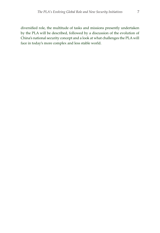diversified role, the multitude of tasks and missions presently undertaken by the PLA will be described, followed by a discussion of the evolution of China's national security concept and a look at what challenges the PLA will face in today's more complex and less stable world.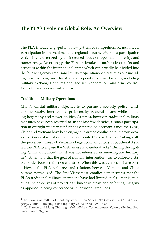## **The PLA's Evolving Global Role: An Overview**

The PLA is today engaged in a new pattern of comprehensive, multi-level participation in international and regional security affairs—a participation which is characterized by an increased focus on openness, sincerity, and transparency. Accordingly, the PLA undertakes a multitude of tasks and activities within the international arena which can broadly be divided into the following areas: traditional military operations, diverse missions including peacekeeping and disaster relief operations, trust building including military exchanges and regional security cooperation, and arms control. Each of these is examined in turn.

#### **Traditional Military Operations**

China's official military objective is to pursue a security policy which aims to resolve international problems by peaceful means, while opposing hegemony and power politics. At times, however, traditional military measures have been resorted to. In the last few decades, China's participation in outright military conflict has centered on Vietnam. Since the 1970s, China and Vietnam have been engaged in armed conflict on numerous occasions. Border skirmishes and incursions into Chinese territory,<sup>4</sup> along with the perceived threat of Vietnam's hegemonic ambitions in Southeast Asia, led the PLA to engage the Vietnamese in counterattacks.<sup>5</sup> During the fighting, China announced that it was not interested in annexing any territory in Vietnam and that the goal of military intervention was to enforce a stable border between the two countries. When this was deemed to have been achieved, the PLA withdrew and relations between Vietnam and China became normalized. The Sino-Vietnamese conflict demonstrates that the PLA's traditional military operations have had limited goals—that is, pursuing the objectives of protecting Chinese interests and enforcing integrity as opposed to being concerned with territorial ambitions.

<sup>4</sup> Editorial Committee of Contemporary China Series, *The Chinese People's Liberation Army*, Volume 1 (Beijing: Contemporary China Press, 1994), 330.<br><sup>5</sup> Xu Tianxin and Liang Zhiming, *World History*, Contemporary Volume (Beijing: Peo-

ple's Press, 1997), 361.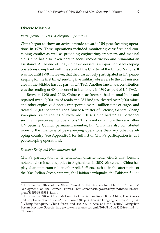#### **Diverse Missions**

#### *Participating in UN Peacekeeping Operations*

China began to show an active attitude towards UN peacekeeping operations in 1978. These operations included monitoring ceasefires and containing conflict as well as providing engineering, transport, and medical aid; China has also taken part in social reconstruction and humanitarian assistance. At the end of 1980, China expressed its support for peacekeeping operations compliant with the spirit of the Charter of the United Nations. It was not until 1990, however, that the PLA actively participated in UN peacekeeping for the first time,<sup>6</sup> sending five military observers to the UN mission area in the Middle East as part of UNTSO. Another landmark contribution was the sending of 400 personnel to Cambodia in 1992 as part of UNTAC.

Between 1990 and 2012, Chinese peacekeepers had in total built and repaired over 10,000 km of roads and 284 bridges, cleared over 9,000 mines and other explosive devices, transported over 1 million tons of cargo, and treated 120,000 patients.<sup>7</sup> The Chinese Minister of Defense, General Chang Wanquan, stated that as of November 2014, China had 27,000 personnel serving in peacekeeping operations.<sup>8</sup> This is not only more than any other UN Security Council permanent member, but China has also contributed more to the financing of peacekeeping operations than any other developing country (see Appendix 1 for full list of China's participation in UN peacekeeping operations).

#### *Disaster Relief and Humanitarian Aid*

China's participation in international disaster relief efforts first became notable when it sent supplies to Afghanistan in 2002. Since then, China has played an important role in other relief efforts, such as in the aftermaths of the 2004 Indian Ocean tsunami, the Haitian earthquake, the Pakistan floods

<sup>6</sup> Information Office of the State Council of the People's Republic of China, IV. Deployment of the Armed Forces, http://www.scio.gov.cn/zfbps/ndhf/2011/Docu-

 $\frac{8}{3}$  Information Office of the State Council of the People's Republic of China, The Diversified Employment of China's Armed Forces (Beijing: Foreign Languages Press, 2013), 34. 8 Chang Wanquan, "China forces and security in Asia and the Pacific," Xiangshan

Forum Keynote Speech, http://www.chinanews.com/mil/2014/11-21/6801086.shtml (in Chinese).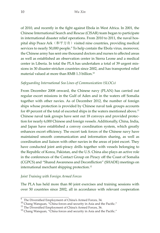of 2010, and recently in the fight against Ebola in West Africa. In 2001, the Chinese International Search and Rescue (CISAR) team began to participate in international disaster relief operations. From 2010 to 2011, the naval hospital ship Peace Ark (和平方舟) visited nine countries, providing medical services to nearly 50,000 people.<sup>9</sup> To help contain the Ebola virus, moreover, the Chinese army has sent one thousand doctors and nurses to affected areas as well as established an observation center in Sierra Leone and a medical center in Liberia. In total the PLA has undertaken a total of 39 urgent missions in 30 disaster-stricken countries since 2002, and has transported relief material valued at more than RMB 1.3 billion.<sup>10</sup>

#### *Safeguarding International Sea Lines of Communication (SLOCs)*

From December 2008 onward, the Chinese navy (PLAN) has carried out regular escort missions in the Gulf of Aden and in the waters off Somalia together with other navies. As of December 2012, the number of foreign ships whose protection is provided by Chinese naval task groups accounts for 49 percent of the total of escorted ships in the waters mentioned above.<sup>11</sup> Chinese naval task groups have sent out 18 convoys and provided protection for nearly 6,000 Chinese and foreign vessels. Additionally, China, India, and Japan have established a convoy coordination system, which greatly enhances escort efficiency. The escort task forces of the Chinese navy have maintained smooth communication and information sharing, as well as coordination and liaison with other navies in the areas of joint escort. They have conducted joint anti-piracy drills together with vessels belonging to the Republic of Korea, Pakistan, and the U.S. China also plays an active role in the conferences of the Contact Group on Piracy off the Coast of Somalia (CGPCS) and "Shared Awareness and Deconfliction" (SHADE) meetings on international merchant shipping protection.12

#### *Joint Training with Foreign Armed Forces*

The PLA has held more than 80 joint exercises and training sessions with over 50 countries since 2002, all in accordance with relevant cooperation

 $\frac{9}{9}$  The Diversified Employment of China's Armed Forces, 34.

<sup>&</sup>lt;sup>10</sup> Chang Wanquan, "China forces and security in Asia and the Pacific."<br><sup>11</sup> The Diversified Employment of China's Armed Forces, 36.<br><sup>12</sup> Chang Wanquan, "China forces and security in Asia and the Pacific."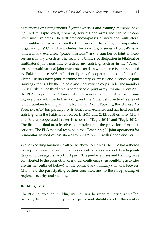agreements or arrangements.13 Joint exercises and training missions have featured multiple levels, domains, services and arms and can be categorized into five areas. The first area encompasses bilateral and multilateral joint military exercises within the framework of the Shanghai Cooperation Organization (SCO). This includes, for example, a series of Sino-Russian joint military exercises, "peace missions," and a number of joint anti-terrorism military exercises. The second is China's participation in bilateral or multilateral joint maritime exercises and training, such as in the "Peace" series of multinational joint maritime exercises which have been organized by Pakistan since 2003. Additionally, naval cooperation also includes the China-Russian navy joint maritime military exercises and a series of joint training exercises by the Chinese and Thai marine corps under the moniker "Blue Strike." The third area is comprised of joint army training. From 2007 the PLA has joined the "Hand-in-Hand" series of joint anti-terrorism training exercises with the Indian Army, and the "Friendship Action" series of joint mountain training with the Romanian Army. Fourthly, the Chinese Air Force (PLAAF) has participated in joint aerial exercises and has held combat training with the Pakistan air force. In 2011 and 2012, furthermore, China and Belarus cooperated in exercises such as "Eagle 2011" and "Eagle 2012." The fifth and final area involves joint training in the provision of medical services. The PLA medical team held the "Peace Angel" joint operations for humanitarian medical assistance from 2009 to 2011 with Gabon and Peru.

While executing missions in all of the above four areas, the PLA has adhered to the principles of non-alignment, non-confrontation, and not directing military activities against any third party The joint exercises and training have contributed to the promotion of mutual confidence (trust-building activities are further outlined below) in the political and military domains between China and the participating partner countries, and to the safeguarding of regional security and stability.

### **Building Trust**

The PLA believes that building mutual trust between militaries is an effective way to maintain and promote peace and stability, and it thus makes

 $\overline{^{13}$  Tbid.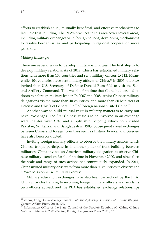efforts to establish equal, mutually beneficial, and effective mechanisms to facilitate trust building. The PLA's practices in this area cover several areas, including military exchanges with foreign nations, developing mechanisms to resolve border issues, and participating in regional cooperation more generally.

#### *Military Exchanges*

There are several ways to develop military exchanges. The first step is to develop military relations. As of 2012, China has established military relations with more than 150 countries and sent military officers to 112. Meanwhile, 104 countries have sent military officers to China.<sup>14</sup> In 2005, the PLA invited then U.S. Secretary of Defense Donald Rumsfeld to visit the Second Artillery Command. This was the first time that China had opened its doors to a foreign military leader. In 2007 and 2008, senior Chinese military delegations visited more than 40 countries, and more than 60 Ministers of Defense and Chiefs of General Staff of foreign nations visited China.15

Another way to build mutual trust in military matters is to carry out naval exchanges. The first Chinese vessels to be involved in an exchange were the destroyer *Hefei* and supply ship *Fengcang* which both visited Pakistan, Sri Lanka, and Bangladesh in 1985. Subsequent naval exchanges between China and foreign countries such as Britain, France, and Sweden have also been conducted.

Inviting foreign military officers to observe the military actions which Chinese troops participate in is another pillar of trust building between militaries. China invited an American military delegation to observe Chinese military exercises for the first time in November 2000, and since then the scale and range of such actions has continuously expanded. In 2014, China invited military observers from more than 60 countries to observe the "Peace Mission 2014" military exercise.

Military education exchanges have also been carried out by the PLA. China provides training to incoming foreign military officers and sends its own officers abroad, and the PLA has established exchange relationships

<sup>14</sup> Zhang Fang, *Contemporary Chinese military diplomacy: History and reality* (Beijing: Current Affairs Press, 2014), 179.

<sup>&</sup>lt;sup>15</sup> Information Office of the State Council of the People's Republic of China, China's National Defense in 2008 (Beijing: Foreign Languages Press, 2009), 93.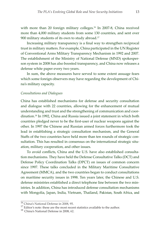with more than 20 foreign military colleges.<sup>16</sup> In 2007-8, China received more than 4,000 military students from some 130 countries, and sent over 900 military students of its own to study abroad.<sup>17</sup>

Increasing military transparency is a final way to strengthen reciprocal trust in military matters. For example, China participated in the UN Register of Conventional Arms Military Transparency Mechanism in 1992 and 2007. The establishment of the Ministry of National Defense (MND) spokesperson system in 2008 has also boosted transparency, and China now releases a defense white paper every two years.

In sum, the above measures have served to some extent assuage fears which some foreign observers may have regarding the development of China's military capacity.

#### *Consultations and Dialogues*

China has established mechanisms for defense and security consultation and dialogue with 22 countries, allowing for the enhancement of mutual understanding and trust and the strengthening of communication and coordination.18 In 1992, China and Russia issued a joint statement in which both countries pledged never to be the first-user of nuclear weapons against the other. In 1997 the Chinese and Russian armed forces furthermore took the lead in establishing a strategic consultation mechanism, and the General Staffs of the two countries have held more than ten rounds of strategic consultation. This has resulted in consensus on the international strategic situation, military cooperation, and other issues.

To avoid conflicts, China and the U.S. have also established consultation mechanisms. They have held the Defense Consultative Talks (DCT) and Defense Policy Coordination Talks (DPCT) on issues of common concern since 1997. These talks concluded in the Military Maritime Consultative Agreement (MMCA), and the two countries began to conduct consultations on maritime security issues in 1998. Ten years later, the Chinese and U.S. defense ministries established a direct telephone line between the two ministries. In addition, China has introduced defense consultation mechanisms with Mongolia, Japan, India, Vietnam, Thailand, Pakistan, South Africa, and

 $16$  China's National Defense in 2008, 95.

 $^{17}$  Editor's note: these are the most recent statistics available to the author.

<sup>18</sup> China's National Defense in 2008, 62.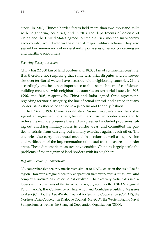others. In 2013, Chinese border forces held more than two thousand talks with neighboring countries, and in 2014 the departments of defense of China and the United States agreed to create a trust mechanism whereby each country would inform the other of major military actions. They also signed two memoranda of understanding on issues of safety concerning air and maritime encounters.

#### *Securing Peaceful Borders*

China has 22,000 km of land borders and 18,000 km of continental coastline. It is therefore not surprising that some territorial disputes and controversies over territorial waters have occurred with neighboring countries. China accordingly attaches great importance to the establishment of confidencebuilding measures with neighboring countries on territorial issues. In 1993, 1996, and 2005, respectively, China and India signed three agreements regarding territorial integrity, the line of actual control, and agreed that any border issues should be solved in a peaceful and friendly fashion.

In 1996 and 1997, China, Kazakhstan, Russia, Kyrgyzstan, and Tajikistan signed an agreement to strengthen military trust in border areas and to reduce the military presence there. This agreement included provisions ruling out attacking military forces in border areas, and committed the parties to refrain from carrying out military exercises against each other. The countries also carry out annual mutual inspections as well as supervision and verification of the implementation of mutual trust measures in border areas. These diplomatic measures have enabled China to largely settle the problems of the integrity of land borders with its neighbors.

#### *Regional Security Cooperation*

No comprehensive security mechanism similar to NATO exists in the Asia-Pacific region. However, a regional security cooperation framework with a multi-level and complex structure has nevertheless evolved. China actively participates in dialogues and mechanisms of the Asia-Pacific region, such as the ASEAN Regional Forum (ARF), the Conference on Interaction and Confidence-building Measures in Asia (ClCA), the Asia-Pacific Council for Security Cooperation (CSCAP), the Northeast Asia Cooperation Dialogue Council (NEACD), the Western Pacific Naval Symposium, as well as the Shanghai Cooperation Organization (SCO).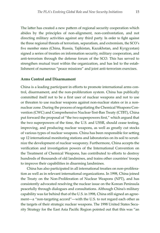The latter has created a new pattern of regional security cooperation which abides by the principles of non-alignment, non-confrontation, and not directing military activities against any third party. In order to fight against the three regional threats of terrorism, separatism, and extremism, the SCO's five member states (China, Russia, Tajikistan, Kazakhstan, and Kyrgyzstan) signed a series of treaties on information security, military cooperation, and anti-terrorism through the defense forum of the SCO. This has served to strengthen mutual trust within the organization, and has led to the establishment of numerous "peace missions" and joint anti-terrorism exercises.

#### **Arms Control and Disarmament**

China is a leading participant in efforts to promote international arms control, disarmament, and the non-proliferation system. China has publically committed itself not to be a first user of nuclear weapons and not to use or threaten to use nuclear weapons against non-nuclear states or in a nonnuclear zone. During the process of negotiating the Chemical Weapons Convention (CWC) and Comprehensive Nuclear-Test-Ban Treaty (CTBT), China put forward the proposal of "the two superpowers first," which argued that the two superpowers of the time, the U.S. and USSR, should cease testing, improving, and producing nuclear weapons, as well as greatly cut stocks of various types of nuclear weapons. China has been responsible for setting up 12 international monitoring stations and laboratories on its soil to scrutinize the development of nuclear weaponry. Furthermore, China accepts the verification and investigation powers of the International Convention on the Treatment of Chemical Weapons, has contributed to efforts to destroy hundreds of thousands of old landmines, and trains other countries' troops to improve their capabilities in disarming landmines.

China has also participated in all international treaties on non-proliferation as well as in relevant international organizations. In 1998, China joined the Treaty on the Non-Proliferation of Nuclear Weapons (NPT), and has consistently advocated resolving the nuclear issue on the Korean Peninsula peacefully through dialogues and consultations. Although China's military capability was far behind that of the U.S. in 1998, China still signed an agreement—a "non-targeting accord"—with the U.S. to not regard each other as the targets of their strategic nuclear weapons. The 1998 United States Security Strategy for the East Asia Pacific Region pointed out that this was "an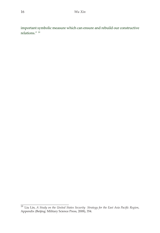important symbolic measure which can ensure and rebuild our constructive relations." 19

<sup>19</sup> Liu Lin, *A Study on the United States Security Strategy for the East Asia Pacific Region*, Appendix (Beijing: Military Science Press, 2008), 354.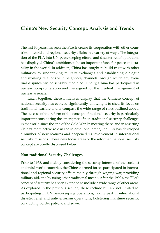## **China's New Security Concept: Analysis and Trends**

The last 30 years has seen the PLA increase its cooperation with other countries in world and regional security affairs in a variety of ways. The integration of the PLA into UN peacekeeping efforts and disaster relief operations has displayed China's ambitions to be an important force for peace and stability in the world. In addition, China has sought to build trust with other militaries by undertaking military exchanges and establishing dialogue and working relations with neighbors, channels through which any eventual disputes can be sensibly mediated. Finally, China has participated in nuclear non-proliferation and has argued for the prudent management of nuclear arsenals.

 Taken together, these initiatives display that the Chinese concept of national security has evolved significantly, allowing it to shed its focus on traditional warfare and encompass the wide range of roles outlined above. The success of the reform of the concept of national security is particularly important considering the emergence of non-traditional security challenges in the world since the end of the Cold War. In meeting these, and in asserting China's more active role in the international arena, the PLA has developed a number of new features and deepened its involvement in international security missions. These new focus areas of the reformed national security concept are briefly discussed below.

#### **Non-traditional Security Challenges**

Prior to 1978, and mainly considering the security interests of the socialist and third world countries, the Chinese armed forces participated in international and regional security affairs mainly through waging war, providing military aid, and by using other traditional means. After the 1990s, the PLA's concept of security has been extended to include a wide range of other areas. As explored in the previous section, these include but are not limited to: participating in UN peacekeeping operations, taking part in international disaster relief and anti-terrorism operations, bolstering maritime security, conducting border patrols, and so on.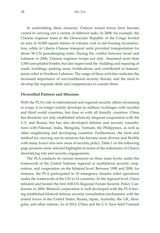In undertaking these missions, Chinese armed forces have become versed in carrying out a variety of different tasks. In 2008, for example, the Chinese engineer team to the Democratic Republic of the Congo leveled an area of 16,000 square meters of volcanic rock to aid housing reconstruction, while in Liberia Chinese transport units provided transportation for about 50 UN peacekeeping units. During the conflict between Israel and Lebanon in 2006, Chinese engineer troops not only disarmed more than 3,500 unexploded bombs, but also supervised the building and repairing of roads, buildings, parking areas, fortifications, and contributed to humanitarian relief in Southern Lebanon. The range of these activities indicates the increased importance of non-traditional security threats, and the need to develop the requisite skills and competencies to counter them.

#### **Diversified Partners and Missions**

With the PLA's role in international and regional security affairs increasing in scope, it no longer mainly develops its military exchanges with socialist and third world countries, but does so with all friendly countries. China has therefore not only established relatively frequent cooperation with the U.S. and Russia, but has also developed defense and security consultations with Pakistan, India, Mongolia, Vietnam, the Philippines, as well as other neighboring and developing countries. Furthermore, the form and method for carrying out its missions has become more diverse and flexible with many forays into new areas of security policy. Table 1 on the following page presents some selected highlights in terms of the milestones of China's diversifying role and security engagements.

The PLA conducts its various missions on three main levels: under the framework of the United Nations, regional or multilateral security cooperation, and cooperation on the bilateral level. Between 1999 and 2009, for instance, the PLA participated in 10 emergency disaster relief operations under the framework of the UN in 14 countries. At the regional level, China initiated and hosted the first ASEAN Regional Forum Security Policy Conference in 2004. Bilateral cooperation is well-developed with the PLA having established bilateral defense security consultation mechanisms with the armed forces of the United States, Russia, Japan, Australia, the UK, Mongolia, and other nations. As of 2012, China and the U.S. have held 9 annual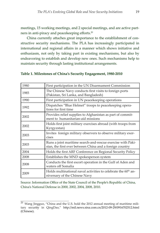meetings, 15 working meetings, and 2 special meetings, and are active partners in anti-piracy and peacekeeping efforts.<sup>20</sup>

China currently attaches great importance to the establishment of constructive security mechanisms. The PLA has increasingly participated in international and regional affairs in a manner which shows initiative and enthusiasm, not only by taking part in existing mechanisms, but also by endeavoring to establish and develop new ones. Such mechanisms help to maintain security through lasting institutional arrangements.

| 1980 | First participation in the UN Disarmament Commission                                                                    |  |  |
|------|-------------------------------------------------------------------------------------------------------------------------|--|--|
| 1985 | The Chinese Navy conducts first visits to foreign ports<br>(Pakistan, Sri Lanka, and Bangladesh)                        |  |  |
| 1990 | First participation in UN peacekeeping operations                                                                       |  |  |
| 1992 | Dispatches "Blue Helmet" troops to peacekeeping opera-<br>tions for first time                                          |  |  |
| 2002 | Provides relief supplies to Afghanistan as part of commit-<br>ment to humanitarian-aid missions                         |  |  |
| 2002 | Holds first joint military exercises abroad (with troops from<br>Kyrgyzstan)                                            |  |  |
| 2003 | Invites foreign military observers to observe military exer-<br>cises                                                   |  |  |
| 2003 | Runs a joint maritime search-and-rescue exercise with Paki-<br>stan, the first ever between China and a foreign country |  |  |
| 2004 | Holds the first ARF Conference on Regional Security Policy                                                              |  |  |
| 2008 | Establishes the MND spokesperson system                                                                                 |  |  |
| 2008 | Conducts the first escort operation in the Gulf of Aden and<br>waters off Somalia                                       |  |  |
| 2009 | Holds multinational naval activities to celebrate the 60 <sup>th</sup> an-<br>niversary of the Chinese Navy             |  |  |

#### **Table 1. Milestones of China's Security Engagement, 1980-2010**

Source: Information Office of the State Council of the People's Republic of China, China's National Defense in 2000, 2002, 2004, 2008, 2010.

 $\frac{20}{20}$  Wang Jingguo, "China and the U.S. hold the 2012 annual meeting of maritime military security in QingDao," http://mil.news.sina.com.cn/2012-09-29/0916702512.html (Chinese).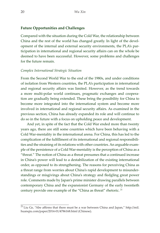#### **Future Opportunities and Challenges**

Compared with the situation during the Cold War, the relationship between China and the rest of the world has changed greatly. In light of the development of the internal and external security environments, the PLA's participation in international and regional security affairs can on the whole be deemed to have been successful. However, some problems and challenges for the future remain.

#### *Complex International Strategic Situation*

From the Second World War to the end of the 1980s, and under conditions of isolation from Western countries, the PLA's participation in international and regional security affairs was limited. However, as the trend towards a more multi-polar world continues, pragmatic exchanges and cooperation are gradually being extended. These bring the possibility for China to become more integrated into the international system and become more involved in international and regional security affairs. As examined in the previous section, China has already expanded its role and will continue to do so in the future with a focus on upholding peace and development.

And yet, in spite of the fact that the Cold War ended more than twenty years ago, there are still some countries which have been behaving with a Cold War-mentality in the international arena. For China, this has led to the complication of the fulfillment of its international and regional responsibilities and the straining of its relations with other countries. An arguable example of the persistence of a Cold War-mentality is the perception of China as a "threat." The notion of China as a threat presumes that a continued increase in China's power will lead to a destabilization of the existing international order, as opposed to its strengthening. The reasons for perceiving China as a threat range from worries about China's rapid development to misunderstandings or misgivings about China's strategy and fledgling great power role. Comments made by Japan's prime minister drawing parallels between contemporary China and the expansionist Germany of the early twentieth century provide one example of the "China as threat" rhetoric.<sup>21</sup>

 $21$  Liu Ge, "Abe affirms that there must be a war between China and Japan," http://mil. huanqiu.com/paper/2014-01/4786168.html (Chinese).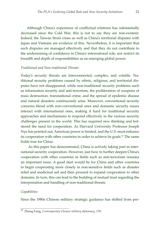Although China's experience of conflictual relations has substantially decreased since the Cold War, this is not to say they are non-existent. Indeed, the Taiwan Strait crises as well as China's territorial disputes with Japan and Vietnam are evidence of this. Nevertheless, it is important that such disputes are managed effectively and that they do not contribute to the undermining of confidence in China's international role, nor restrict its breadth and depth of responsibilities as an emerging global power.

#### *Traditional and Non-traditional Threats*

Today's security threats are interconnected, complex, and volatile. Traditional security problems caused by ethnic, religious, and territorial disputes have not disappeared, while non-traditional security problems such as information security and anti-terrorism, the proliferation of weapons of mass destruction, transnational crime, and the spread of epidemic disease and natural disasters continuously arise. Moreover, conventional security concerns blend with non-conventional ones and domestic security issues interact with international ones, making it hard for traditional security approaches and mechanisms to respond effectively to the various security challenges present in the world. This has required new thinking and bolstered the need for cooperation. As Harvard University Professor Joseph Nye has pointed out, American power is limited, and the U.S. must enhance its cooperation with other countries in order to achieve its goals.<sup>22</sup> The same holds true for China.

As this paper has demonstrated, China is actively taking part in international security cooperation. However, just how to further deepen China's cooperation with other countries in fields such as anti-terrorism remains an important issue. A good start would be for China and other countries to begin cooperating more closely in non-sensitive fields such as disaster relief and medicinal aid and then proceed to expand cooperation to other domains. In turn, this can lead to the building of mutual trust regarding the interpretation and handling of non-traditional threats.

#### *Capabilities*

Since the 1980s Chinese military strategic guidance has shifted from pre-

<sup>22</sup> Zhang Fang, *Contemporary Chinese military diplomacy*, 170.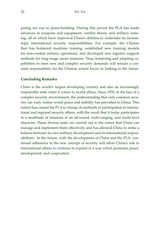paring for war to peace-building. During this period the PLA has made advances in weapons and equipment, combat theory, and military training, all of which have improved China's abilities to undertake its increasingly international security responsibilities. For example, the Chinese fleet has bolstered maritime training, established new training models for non-combat military operations, and developed new logistics support methods for long-range ocean missions. Thus, bolstering and adapting capabilities to meet new and complex security demands will remain a constant responsibility for the Chinese armed forces in looking to the future.

#### **Concluding Remarks**

China is the world's largest developing country and also an increasingly responsible state when it comes to world affairs. Since 1978, in the face of a complex security environment, the understanding that only common security can truly realize world peace and stability has prevailed in China. This notion has caused the PLA to change its methods of participation in international and regional security affairs, with the result that it today participates in a multitude of missions of an all-round, wide-ranging, and multi-level character. These diverse tasks are carried out to the extent that China can manage and implement them effectively, and has allowed China to strike a balance between its own military development and its international responsibilities. In the future, with the development of China and the PLA, continued adherence to the new concept of security will allow China's role in international affairs to continue to expand in a way which promotes peace, development, and cooperation.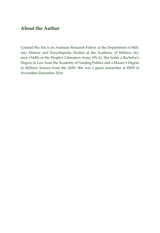## **About the Author**

Colonel Wu Xin is an Assistant Research Fellow at the Department of Military History and Encyclopedia Studies at the Academy of Military Science (AMS) of the People's Liberation Army (PLA). She holds a Bachelor's Degree in Law from the Academy of Nanjing Politics and a Master's Degree in Military Science from the AMS. She was a guest researcher at ISDP in November-December 2014.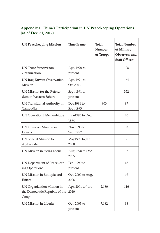## **Appendix 1. China's Participation in UN Peacekeeping Operations (as of Dec. 31, 2012)**

| <b>UN Peacekeeping Mission</b>                                        | <b>Time Frame</b>         | <b>Total</b><br>Number<br>of Troops | <b>Total Number</b><br>of Military<br>Observers and<br><b>Staff Officers</b> |
|-----------------------------------------------------------------------|---------------------------|-------------------------------------|------------------------------------------------------------------------------|
| <b>UN Truce Supervision</b><br>Organization                           | Apr. 1990 to<br>present   |                                     | 108                                                                          |
| UN Iraq-Kuwait Observation<br>Mission                                 | Apr. 1991 to<br>Oct.2003  |                                     | 164                                                                          |
| UN Mission for the Referen-<br>dum in Western Sahara                  | Sept.1991 to<br>present   |                                     | 352                                                                          |
| UN Transitional Authority in<br>Cambodia                              | Dec.1991 to<br>Sept.1993  | 800                                 | 97                                                                           |
| <b>UN Operation I Mozambique</b>                                      | June1993 to Dec.<br>1994  |                                     | 20                                                                           |
| UN Observer Mission in<br>Liberia                                     | Nov.1993 to<br>Sept.1997  |                                     | 33                                                                           |
| UN Special Mission to<br>Afghanistan                                  | May1998 to Jan.<br>2000   |                                     | 2                                                                            |
| UN Mission in Sierra Leone                                            | Aug.1998 to Dec.<br>2005  |                                     | 37                                                                           |
| UN Department of Peacekeep-<br>ing Operations                         | Feb. 1999 to<br>present   |                                     | 18                                                                           |
| UN Mission in Ethiopia and<br>Eritrea                                 | Oct. 2000 to Aug.<br>2008 |                                     | 49                                                                           |
| UN Organization Mission in<br>the Democratic Republic of the<br>Congo | Apr. 2001 to Jun.<br>2010 | 2,180                               | 116                                                                          |
| UN Mission in Liberia                                                 | Oct. 2003 to<br>present   | 7,182                               | 98                                                                           |